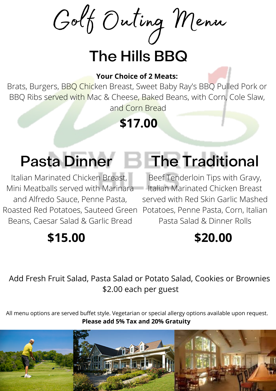Golf Outing Menu

## The Hills BBQ

#### **Your Choice of 2 Meats:**

Brats, Burgers, BBQ Chicken Breast, Sweet Baby Ray's BBQ Pulled Pork or BBQ Ribs served with Mac & Cheese, Baked Beans, with Corn, Cole Slaw, and Corn Bread

**\$17.00**

Italian Marinated Chicken Breast, Mini Meatballs served with Marinara and Alfredo Sauce, Penne Pasta, Roasted Red Potatoes, Sauteed Green Potatoes, Penne Pasta, Corn, Italian Beans, Caesar Salad & Garlic Bread

### **\$15.00**

# Pasta Dinner **The Traditional**

Beef Tenderloin Tips with Gravy, Italian Marinated Chicken Breast served with Red Skin Garlic Mashed Pasta Salad & Dinner Rolls

### **\$20.00**

Add Fresh Fruit Salad, Pasta Salad or Potato Salad, Cookies or Brownies \$2.00 each per guest

All menu options are served buffet style. Vegetarian or special allergy options available upon request. **Please add 5% Tax and 20% Gratuity**